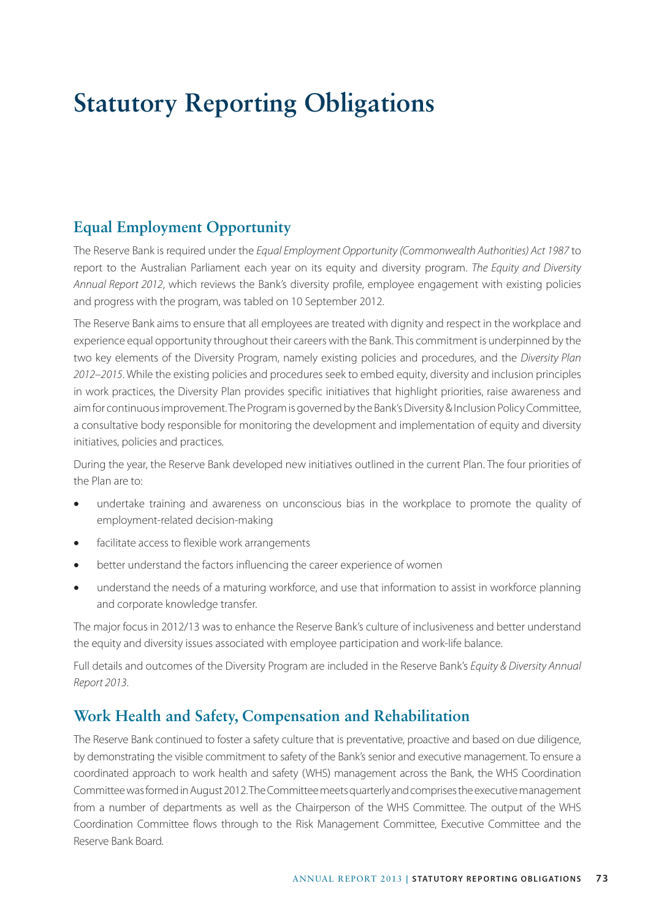# **Statutory Reporting Obligations**

### **Equal Employment Opportunity**

The Reserve Bank is required under the *Equal Employment Opportunity (Commonwealth Authorities) Act 1987* to report to the Australian Parliament each year on its equity and diversity program. *The Equity and Diversity Annual Report 2012*, which reviews the Bank's diversity profile, employee engagement with existing policies and progress with the program, was tabled on 10 September 2012.

The Reserve Bank aims to ensure that all employees are treated with dignity and respect in the workplace and experience equal opportunity throughout their careers with the Bank. This commitment is underpinned by the two key elements of the Diversity Program, namely existing policies and procedures, and the *Diversity Plan 2012–2015*. While the existing policies and procedures seek to embed equity, diversity and inclusion principles in work practices, the Diversity Plan provides specific initiatives that highlight priorities, raise awareness and aim for continuous improvement. The Program is governed by the Bank's Diversity & Inclusion Policy Committee, a consultative body responsible for monitoring the development and implementation of equity and diversity initiatives, policies and practices.

During the year, the Reserve Bank developed new initiatives outlined in the current Plan. The four priorities of the Plan are to:

- undertake training and awareness on unconscious bias in the workplace to promote the quality of employment-related decision-making
- facilitate access to flexible work arrangements
- better understand the factors influencing the career experience of women
- understand the needs of a maturing workforce, and use that information to assist in workforce planning and corporate knowledge transfer.

The major focus in 2012/13 was to enhance the Reserve Bank's culture of inclusiveness and better understand the equity and diversity issues associated with employee participation and work-life balance.

Full details and outcomes of the Diversity Program are included in the Reserve Bank's *Equity & Diversity Annual Report 2013*.

#### **Work Health and Safety, Compensation and Rehabilitation**

The Reserve Bank continued to foster a safety culture that is preventative, proactive and based on due diligence, by demonstrating the visible commitment to safety of the Bank's senior and executive management. To ensure a coordinated approach to work health and safety (WHS) management across the Bank, the WHS Coordination Committee was formed in August 2012. The Committee meets quarterly and comprises the executive management from a number of departments as well as the Chairperson of the WHS Committee. The output of the WHS Coordination Committee flows through to the Risk Management Committee, Executive Committee and the Reserve Bank Board.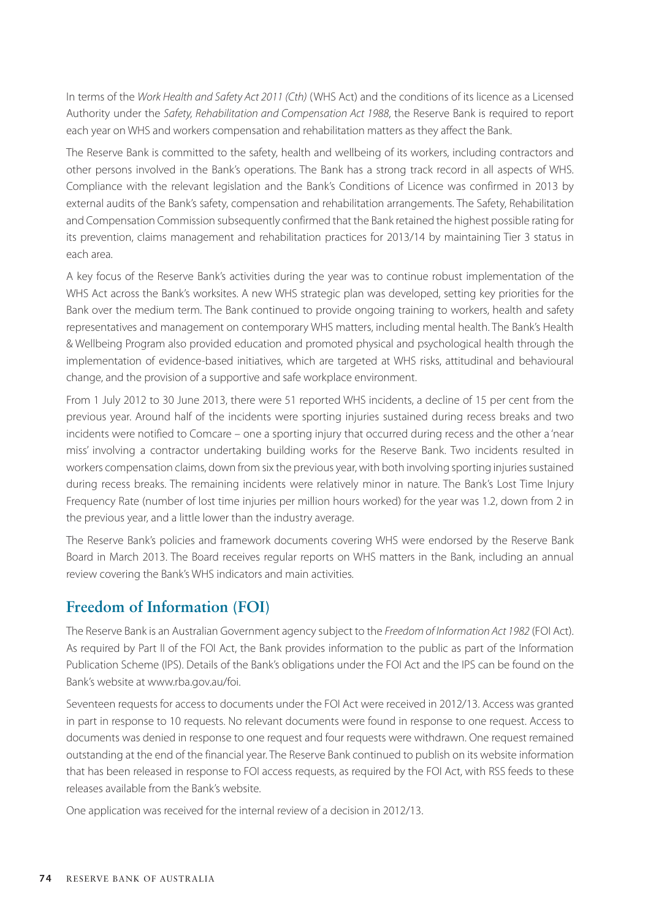In terms of the *Work Health and Safety Act 2011 (Cth)* (WHS Act) and the conditions of its licence as a Licensed Authority under the *Safety, Rehabilitation and Compensation Act 1988*, the Reserve Bank is required to report each year on WHS and workers compensation and rehabilitation matters as they affect the Bank.

The Reserve Bank is committed to the safety, health and wellbeing of its workers, including contractors and other persons involved in the Bank's operations. The Bank has a strong track record in all aspects of WHS. Compliance with the relevant legislation and the Bank's Conditions of Licence was confirmed in 2013 by external audits of the Bank's safety, compensation and rehabilitation arrangements. The Safety, Rehabilitation and Compensation Commission subsequently confirmed that the Bank retained the highest possible rating for its prevention, claims management and rehabilitation practices for 2013/14 by maintaining Tier 3 status in each area.

A key focus of the Reserve Bank's activities during the year was to continue robust implementation of the WHS Act across the Bank's worksites. A new WHS strategic plan was developed, setting key priorities for the Bank over the medium term. The Bank continued to provide ongoing training to workers, health and safety representatives and management on contemporary WHS matters, including mental health. The Bank's Health & Wellbeing Program also provided education and promoted physical and psychological health through the implementation of evidence-based initiatives, which are targeted at WHS risks, attitudinal and behavioural change, and the provision of a supportive and safe workplace environment.

From 1 July 2012 to 30 June 2013, there were 51 reported WHS incidents, a decline of 15 per cent from the previous year. Around half of the incidents were sporting injuries sustained during recess breaks and two incidents were notified to Comcare – one a sporting injury that occurred during recess and the other a 'near miss' involving a contractor undertaking building works for the Reserve Bank. Two incidents resulted in workers compensation claims, down from six the previous year, with both involving sporting injuries sustained during recess breaks. The remaining incidents were relatively minor in nature. The Bank's Lost Time Injury Frequency Rate (number of lost time injuries per million hours worked) for the year was 1.2, down from 2 in the previous year, and a little lower than the industry average.

The Reserve Bank's policies and framework documents covering WHS were endorsed by the Reserve Bank Board in March 2013. The Board receives regular reports on WHS matters in the Bank, including an annual review covering the Bank's WHS indicators and main activities.

#### **Freedom of Information (FOI)**

The Reserve Bank is an Australian Government agency subject to the *Freedom of Information Act 1982* (FOI Act). As required by Part II of the FOI Act, the Bank provides information to the public as part of the Information Publication Scheme (IPS). Details of the Bank's obligations under the FOI Act and the IPS can be found on the Bank's website at www.rba.gov.au/foi.

Seventeen requests for access to documents under the FOI Act were received in 2012/13. Access was granted in part in response to 10 requests. No relevant documents were found in response to one request. Access to documents was denied in response to one request and four requests were withdrawn. One request remained outstanding at the end of the financial year. The Reserve Bank continued to publish on its website information that has been released in response to FOI access requests, as required by the FOI Act, with RSS feeds to these releases available from the Bank's website.

One application was received for the internal review of a decision in 2012/13.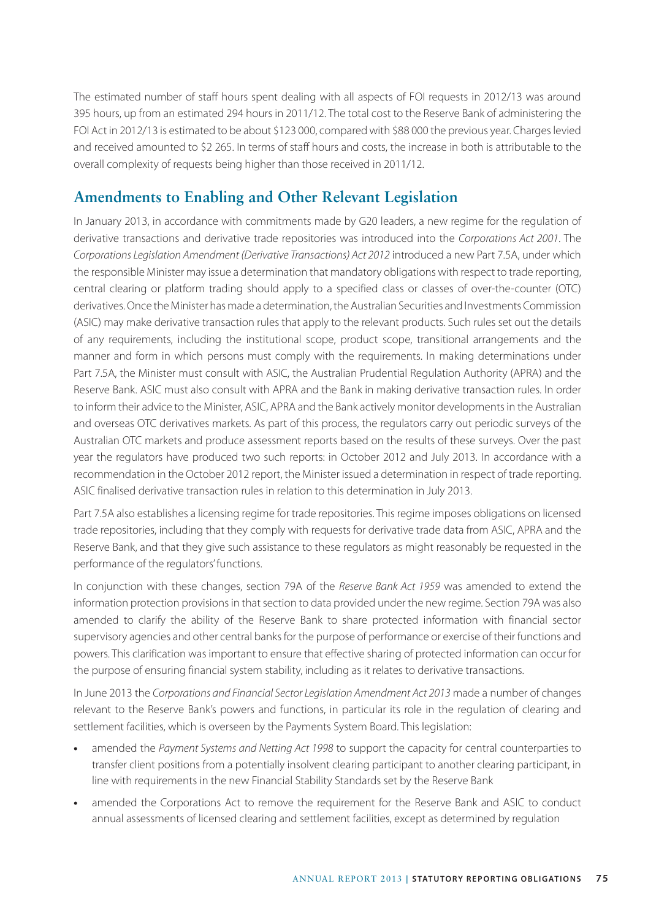The estimated number of staff hours spent dealing with all aspects of FOI requests in 2012/13 was around 395 hours, up from an estimated 294 hours in 2011/12. The total cost to the Reserve Bank of administering the FOI Act in 2012/13 is estimated to be about \$123 000, compared with \$88 000 the previous year. Charges levied and received amounted to \$2 265. In terms of staff hours and costs, the increase in both is attributable to the overall complexity of requests being higher than those received in 2011/12.

# **Amendments to Enabling and Other Relevant Legislation**

In January 2013, in accordance with commitments made by G20 leaders, a new regime for the regulation of derivative transactions and derivative trade repositories was introduced into the *Corporations Act 2001*. The *Corporations Legislation Amendment (Derivative Transactions) Act 2012* introduced a new Part 7.5A, under which the responsible Minister may issue a determination that mandatory obligations with respect to trade reporting, central clearing or platform trading should apply to a specified class or classes of over-the-counter (OTC) derivatives. Once the Minister has made a determination, the Australian Securities and Investments Commission (ASIC) may make derivative transaction rules that apply to the relevant products. Such rules set out the details of any requirements, including the institutional scope, product scope, transitional arrangements and the manner and form in which persons must comply with the requirements. In making determinations under Part 7.5A, the Minister must consult with ASIC, the Australian Prudential Regulation Authority (APRA) and the Reserve Bank. ASIC must also consult with APRA and the Bank in making derivative transaction rules. In order to inform their advice to the Minister, ASIC, APRA and the Bank actively monitor developments in the Australian and overseas OTC derivatives markets. As part of this process, the regulators carry out periodic surveys of the Australian OTC markets and produce assessment reports based on the results of these surveys. Over the past year the regulators have produced two such reports: in October 2012 and July 2013. In accordance with a recommendation in the October 2012 report, the Minister issued a determination in respect of trade reporting. ASIC finalised derivative transaction rules in relation to this determination in July 2013.

Part 7.5A also establishes a licensing regime for trade repositories. This regime imposes obligations on licensed trade repositories, including that they comply with requests for derivative trade data from ASIC, APRA and the Reserve Bank, and that they give such assistance to these regulators as might reasonably be requested in the performance of the regulators' functions.

In conjunction with these changes, section 79A of the *Reserve Bank Act 1959* was amended to extend the information protection provisions in that section to data provided under the new regime. Section 79A was also amended to clarify the ability of the Reserve Bank to share protected information with financial sector supervisory agencies and other central banks for the purpose of performance or exercise of their functions and powers. This clarification was important to ensure that effective sharing of protected information can occur for the purpose of ensuring financial system stability, including as it relates to derivative transactions.

In June 2013 the *Corporations and Financial Sector Legislation Amendment Act 2013* made a number of changes relevant to the Reserve Bank's powers and functions, in particular its role in the regulation of clearing and settlement facilities, which is overseen by the Payments System Board. This legislation:

- **•** amended the *Payment Systems and Netting Act 1998* to support the capacity for central counterparties to transfer client positions from a potentially insolvent clearing participant to another clearing participant, in line with requirements in the new Financial Stability Standards set by the Reserve Bank
- **•** amended the Corporations Act to remove the requirement for the Reserve Bank and ASIC to conduct annual assessments of licensed clearing and settlement facilities, except as determined by regulation